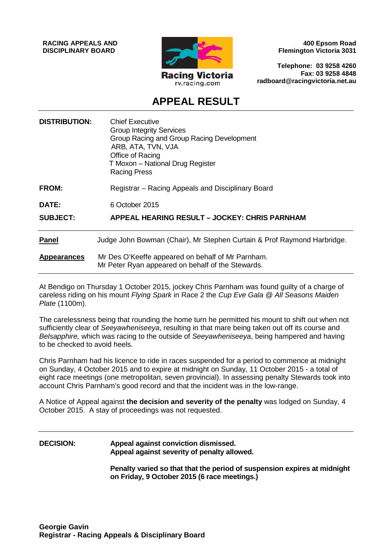**RACING APPEALS AND DISCIPLINARY BOARD**



**400 Epsom Road Flemington Victoria 3031**

**Telephone: 03 9258 4260 Fax: 03 9258 4848 radboard@racingvictoria.net.au**

## **APPEAL RESULT**

| <b>DISTRIBUTION:</b> | <b>Chief Executive</b><br><b>Group Integrity Services</b><br>Group Racing and Group Racing Development<br>ARB, ATA, TVN, VJA<br>Office of Racing<br>T Moxon - National Drug Register<br><b>Racing Press</b> |
|----------------------|-------------------------------------------------------------------------------------------------------------------------------------------------------------------------------------------------------------|
| FROM:                | Registrar - Racing Appeals and Disciplinary Board                                                                                                                                                           |
| DATE:                | 6 October 2015                                                                                                                                                                                              |
| <b>SUBJECT:</b>      | APPEAL HEARING RESULT - JOCKEY: CHRIS PARNHAM                                                                                                                                                               |
| <b>Panel</b>         | Judge John Bowman (Chair), Mr Stephen Curtain & Prof Raymond Harbridge.                                                                                                                                     |
| <b>Appearances</b>   | Mr Des O'Keeffe appeared on behalf of Mr Parnham.<br>Mr Peter Ryan appeared on behalf of the Stewards.                                                                                                      |

At Bendigo on Thursday 1 October 2015, jockey Chris Parnham was found guilty of a charge of careless riding on his mount *Flying Spark* in Race 2 the *Cup Eve Gala @ All Seasons Maiden Plate* (1100m).

The carelessness being that rounding the home turn he permitted his mount to shift out when not sufficiently clear of *Seeyawheniseeya*, resulting in that mare being taken out off its course and *Belsapphire,* which was racing to the outside of *Seeyawheniseeya*, being hampered and having to be checked to avoid heels.

Chris Parnham had his licence to ride in races suspended for a period to commence at midnight on Sunday, 4 October 2015 and to expire at midnight on Sunday, 11 October 2015 - a total of eight race meetings (one metropolitan, seven provincial). In assessing penalty Stewards took into account Chris Parnham's good record and that the incident was in the low-range.

A Notice of Appeal against **the decision and severity of the penalty** was lodged on Sunday, 4 October 2015. A stay of proceedings was not requested.

### **DECISION: Appeal against conviction dismissed. Appeal against severity of penalty allowed.**

**Penalty varied so that that the period of suspension expires at midnight on Friday, 9 October 2015 (6 race meetings.)**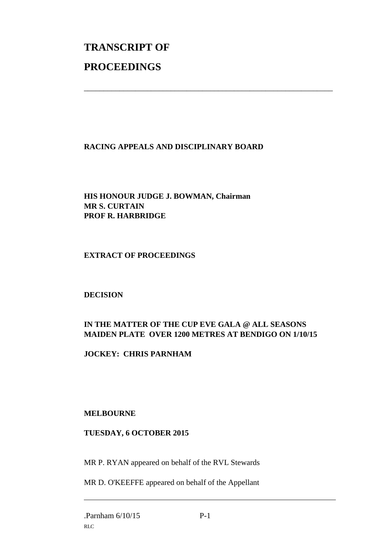# **TRANSCRIPT OF PROCEEDINGS**

#### **RACING APPEALS AND DISCIPLINARY BOARD**

\_\_\_\_\_\_\_\_\_\_\_\_\_\_\_\_\_\_\_\_\_\_\_\_\_\_\_\_\_\_\_\_\_\_\_\_\_\_\_\_\_\_\_\_\_\_\_\_\_\_\_\_\_\_\_\_\_\_\_\_\_\_\_

#### **HIS HONOUR JUDGE J. BOWMAN, Chairman MR S. CURTAIN PROF R. HARBRIDGE**

#### **EXTRACT OF PROCEEDINGS**

#### **DECISION**

#### **IN THE MATTER OF THE CUP EVE GALA @ ALL SEASONS MAIDEN PLATE OVER 1200 METRES AT BENDIGO ON 1/10/15**

#### **JOCKEY: CHRIS PARNHAM**

#### **MELBOURNE**

#### **TUESDAY, 6 OCTOBER 2015**

MR P. RYAN appeared on behalf of the RVL Stewards

MR D. O'KEEFFE appeared on behalf of the Appellant